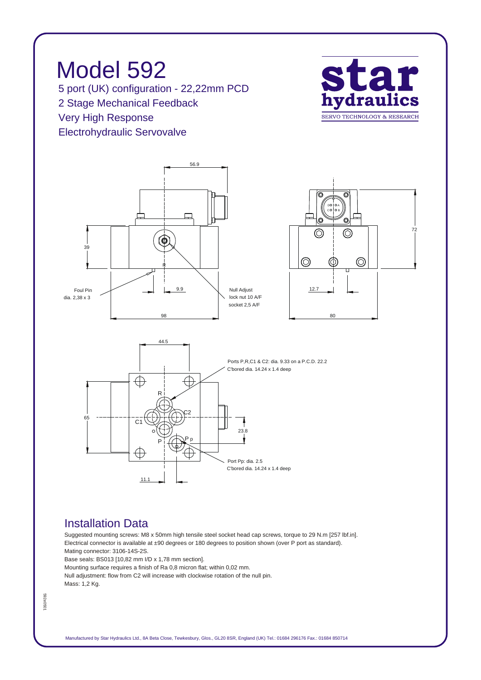*Model 592 5 port (UK) configuration - 22,22mm PCD 2 Stage Mechanical Feedback Very High Response Electrohydraulic Servovalve*





## *Installation Data*

*Suggested mounting screws: M8 x 50mm high tensile steel socket head cap screws, torque to 29 N.m [257 lbf.in]. Electrical connector is available at ±90 degrees or 180 degrees to position shown (over P port as standard). Mating connector: 3106-14S-2S.*

*Base seals: BS013 [10,82 mm I/D x 1,78 mm section].*

*Mounting surface requires a finish of Ra 0,8 micron flat; within 0,02 mm.*

*Null adjustment: flow from C2 will increase with clockwise rotation of the null pin. Mass: 1,2 Kg.*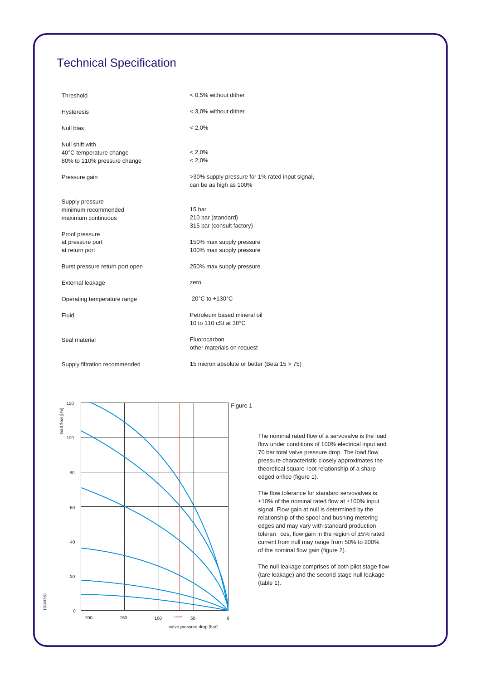## *Technical Specification*

| Threshold                                                                 | < 0.5% without dither                                                     |
|---------------------------------------------------------------------------|---------------------------------------------------------------------------|
| <b>Hysteresis</b>                                                         | < 3,0% without dither                                                     |
| Null bias                                                                 | $< 2.0\%$                                                                 |
| Null shift with<br>40°C temperature change<br>80% to 110% pressure change | $< 2.0\%$<br>$< 2.0\%$                                                    |
|                                                                           |                                                                           |
| Pressure gain                                                             | >30% supply pressure for 1% rated input signal,<br>can be as high as 100% |
| Supply pressure                                                           |                                                                           |
| minimum recommended                                                       | 15 bar                                                                    |
| maximum continuous                                                        | 210 bar (standard)                                                        |
|                                                                           | 315 bar (consult factory)                                                 |
| Proof pressure                                                            |                                                                           |
| at pressure port                                                          | 150% max supply pressure<br>100% max supply pressure                      |
| at return port                                                            |                                                                           |
| Burst pressure return port open                                           | 250% max supply pressure                                                  |
| External leakage                                                          | zero                                                                      |
| Operating temperature range                                               | -20 $^{\circ}$ C to +130 $^{\circ}$ C                                     |
| Fluid                                                                     | Petroleum based mineral oil<br>10 to 110 cSt at 38°C                      |
| Seal material                                                             | Fluorocarbon<br>other materials on request                                |
| Supply filtration recommended                                             | 15 micron absolute or better (Beta 15 > 75)                               |



*The nominal rated flow of a servovalve is the load flow under conditions of 100% electrical input and 70 bar total valve pressure drop. The load flow pressure characteristic closely approximates the theoretical square-root relationship of a sharp edged orifice (figure 1).*

*The flow tolerance for standard servovalves is ±10% of the nominal rated flow at ±100% input signal. Flow gain at null is determined by the relationship of the spool and bushing metering edges and may vary with standard production toleran ces, flow gain in the region of ±5% rated current from null may range from 50% to 200% of the nominal flow gain (figure 2).*

*The null leakage comprises of both pilot stage flow (tare leakage) and the second stage null leakage (table 1).*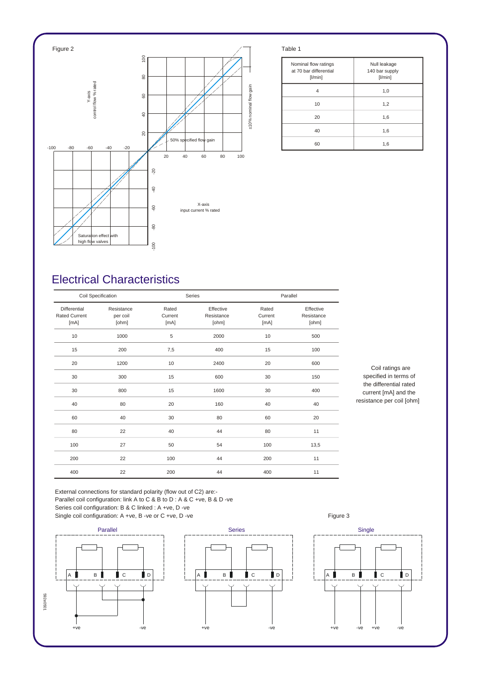

| Nominal flow ratings<br>at 70 bar differential<br>[1/min] | Null leakage<br>140 bar supply<br>[1/min] |  |
|-----------------------------------------------------------|-------------------------------------------|--|
| 4                                                         | 1,0                                       |  |
| 10                                                        | 1,2                                       |  |
| 20                                                        | 1,6                                       |  |
| 40                                                        | 1,6                                       |  |
| 60                                                        | 1,6                                       |  |

## *Electrical Characteristics*

| Coil Specification                                  |                                 |                          | Series                           |                          | Parallel                         |  |
|-----------------------------------------------------|---------------------------------|--------------------------|----------------------------------|--------------------------|----------------------------------|--|
| <b>Differential</b><br><b>Rated Current</b><br>[mA] | Resistance<br>per coil<br>[ohm] | Rated<br>Current<br>[mA] | Effective<br>Resistance<br>[ohm] | Rated<br>Current<br>[mA] | Effective<br>Resistance<br>[ohm] |  |
| 10                                                  | 1000                            | 5                        | 2000                             | 10                       | 500                              |  |
| 15                                                  | 200                             | 7,5                      | 400                              | 15                       | 100                              |  |
| 20                                                  | 1200                            | 10                       | 2400                             | 20                       | 600                              |  |
| 30                                                  | 300                             | 15                       | 600                              | 30                       | 150                              |  |
| 30                                                  | 800                             | 15                       | 1600                             | 30                       | 400                              |  |
| 40                                                  | 80                              | 20                       | 160                              | 40                       | 40                               |  |
| 60                                                  | 40                              | 30                       | 80                               | 60                       | 20                               |  |
| 80                                                  | 22                              | 40                       | 44                               | 80                       | 11                               |  |
| 100                                                 | 27                              | 50                       | 54                               | 100                      | 13,5                             |  |
| 200                                                 | 22                              | 100                      | 44                               | 200                      | 11                               |  |
| 400                                                 | 22                              | 200                      | 44                               | 400                      | 11                               |  |

*Coil ratings are specified in terms of the differential rated current [mA] and the resistance per coil [ohm]*

 $\forall$ 

*External connections for standard polarity (flow out of C2) are:- Parallel coil configuration: link A to C & B to D : A & C +ve, B & D -ve Series coil configuration: B & C linked : A +ve, D -ve* Single coil configuration: A +ve, B -ve or C +ve, D -ve **Figure 3** Figure 3